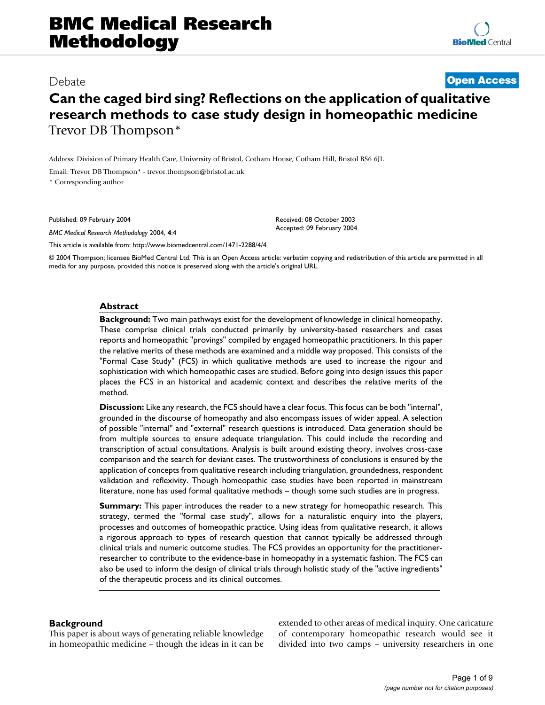# Debate **[Open Access](http://www.biomedcentral.com/info/about/charter/)**

# **Can the caged bird sing? Reflections on the application of qualitative research methods to case study design in homeopathic medicine** Trevor DB Thompson\*

Address: Division of Primary Health Care, University of Bristol, Cotham House, Cotham Hill, Bristol BS6 6JL

Email: Trevor DB Thompson\* - trevor.thompson@bristol.ac.uk

\* Corresponding author

Published: 09 February 2004

*BMC Medical Research Methodology* 2004, **4**:4

[This article is available from: http://www.biomedcentral.com/1471-2288/4/4](http://www.biomedcentral.com/1471-2288/4/4)

© 2004 Thompson; licensee BioMed Central Ltd. This is an Open Access article: verbatim copying and redistribution of this article are permitted in all media for any purpose, provided this notice is preserved along with the article's original URL.

Received: 08 October 2003 Accepted: 09 February 2004

#### **Abstract**

**Background:** Two main pathways exist for the development of knowledge in clinical homeopathy. These comprise clinical trials conducted primarily by university-based researchers and cases reports and homeopathic "provings" compiled by engaged homeopathic practitioners. In this paper the relative merits of these methods are examined and a middle way proposed. This consists of the "Formal Case Study" (FCS) in which qualitative methods are used to increase the rigour and sophistication with which homeopathic cases are studied. Before going into design issues this paper places the FCS in an historical and academic context and describes the relative merits of the method.

**Discussion:** Like any research, the FCS should have a clear focus. This focus can be both "internal", grounded in the discourse of homeopathy and also encompass issues of wider appeal. A selection of possible "internal" and "external" research questions is introduced. Data generation should be from multiple sources to ensure adequate triangulation. This could include the recording and transcription of actual consultations. Analysis is built around existing theory, involves cross-case comparison and the search for deviant cases. The trustworthiness of conclusions is ensured by the application of concepts from qualitative research including triangulation, groundedness, respondent validation and reflexivity. Though homeopathic case studies have been reported in mainstream literature, none has used formal qualitative methods – though some such studies are in progress.

**Summary:** This paper introduces the reader to a new strategy for homeopathic research. This strategy, termed the "formal case study", allows for a naturalistic enquiry into the players, processes and outcomes of homeopathic practice. Using ideas from qualitative research, it allows a rigorous approach to types of research question that cannot typically be addressed through clinical trials and numeric outcome studies. The FCS provides an opportunity for the practitionerresearcher to contribute to the evidence-base in homeopathy in a systematic fashion. The FCS can also be used to inform the design of clinical trials through holistic study of the "active ingredients" of the therapeutic process and its clinical outcomes.

#### **Background**

This paper is about ways of generating reliable knowledge in homeopathic medicine – though the ideas in it can be extended to other areas of medical inquiry. One caricature of contemporary homeopathic research would see it divided into two camps – university researchers in one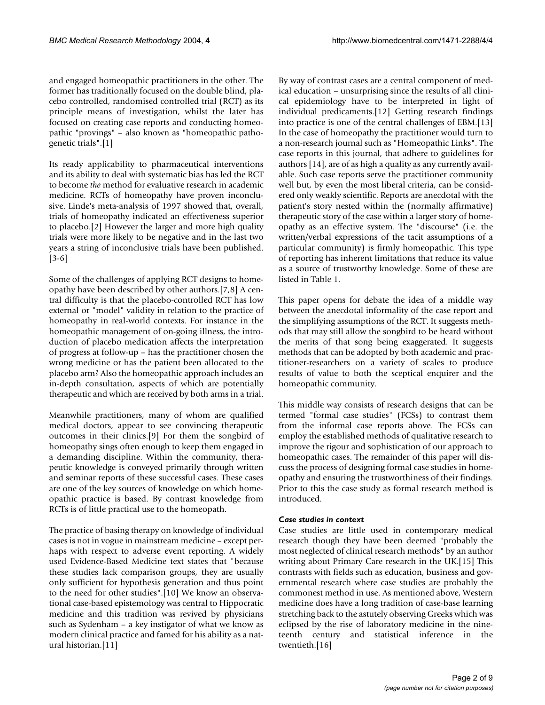and engaged homeopathic practitioners in the other. The former has traditionally focused on the double blind, placebo controlled, randomised controlled trial (RCT) as its principle means of investigation, whilst the later has focused on creating case reports and conducting homeopathic "provings" – also known as "homeopathic pathogenetic trials".[1]

Its ready applicability to pharmaceutical interventions and its ability to deal with systematic bias has led the RCT to become *the* method for evaluative research in academic medicine. RCTs of homeopathy have proven inconclusive. Linde's meta-analysis of 1997 showed that, overall, trials of homeopathy indicated an effectiveness superior to placebo.[2] However the larger and more high quality trials were more likely to be negative and in the last two years a string of inconclusive trials have been published. [3-6]

Some of the challenges of applying RCT designs to homeopathy have been described by other authors.[7,8] A central difficulty is that the placebo-controlled RCT has low external or "model" validity in relation to the practice of homeopathy in real-world contexts. For instance in the homeopathic management of on-going illness, the introduction of placebo medication affects the interpretation of progress at follow-up – has the practitioner chosen the wrong medicine or has the patient been allocated to the placebo arm? Also the homeopathic approach includes an in-depth consultation, aspects of which are potentially therapeutic and which are received by both arms in a trial.

Meanwhile practitioners, many of whom are qualified medical doctors, appear to see convincing therapeutic outcomes in their clinics.[9] For them the songbird of homeopathy sings often enough to keep them engaged in a demanding discipline. Within the community, therapeutic knowledge is conveyed primarily through written and seminar reports of these successful cases. These cases are one of the key sources of knowledge on which homeopathic practice is based. By contrast knowledge from RCTs is of little practical use to the homeopath.

The practice of basing therapy on knowledge of individual cases is not in vogue in mainstream medicine – except perhaps with respect to adverse event reporting. A widely used Evidence-Based Medicine text states that "because these studies lack comparison groups, they are usually only sufficient for hypothesis generation and thus point to the need for other studies".[10] We know an observational case-based epistemology was central to Hippocratic medicine and this tradition was revived by physicians such as Sydenham – a key instigator of what we know as modern clinical practice and famed for his ability as a natural historian.[11]

By way of contrast cases are a central component of medical education – unsurprising since the results of all clinical epidemiology have to be interpreted in light of individual predicaments.[12] Getting research findings into practice is one of the central challenges of EBM.[13] In the case of homeopathy the practitioner would turn to a non-research journal such as "Homeopathic Links". The case reports in this journal, that adhere to guidelines for authors [14], are of as high a quality as any currently available. Such case reports serve the practitioner community well but, by even the most liberal criteria, can be considered only weakly scientific. Reports are anecdotal with the patient's story nested within the (normally affirmative) therapeutic story of the case within a larger story of homeopathy as an effective system. The "discourse" (i.e. the written/verbal expressions of the tacit assumptions of a particular community) is firmly homeopathic. This type of reporting has inherent limitations that reduce its value as a source of trustworthy knowledge. Some of these are listed in Table [1](#page-2-0).

This paper opens for debate the idea of a middle way between the anecdotal informality of the case report and the simplifying assumptions of the RCT. It suggests methods that may still allow the songbird to be heard without the merits of that song being exaggerated. It suggests methods that can be adopted by both academic and practitioner-researchers on a variety of scales to produce results of value to both the sceptical enquirer and the homeopathic community.

This middle way consists of research designs that can be termed "formal case studies" (FCSs) to contrast them from the informal case reports above. The FCSs can employ the established methods of qualitative research to improve the rigour and sophistication of our approach to homeopathic cases. The remainder of this paper will discuss the process of designing formal case studies in homeopathy and ensuring the trustworthiness of their findings. Prior to this the case study as formal research method is introduced.

# *Case studies in context*

Case studies are little used in contemporary medical research though they have been deemed "probably the most neglected of clinical research methods" by an author writing about Primary Care research in the UK.[15] This contrasts with fields such as education, business and governmental research where case studies are probably the commonest method in use. As mentioned above, Western medicine does have a long tradition of case-base learning stretching back to the astutely observing Greeks which was eclipsed by the rise of laboratory medicine in the nineteenth century and statistical inference in the twentieth.[16]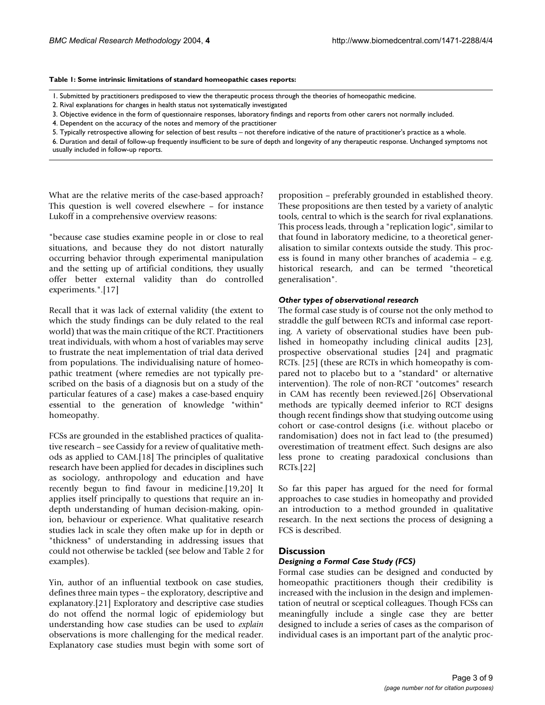#### <span id="page-2-0"></span>**Table 1: Some intrinsic limitations of standard homeopathic cases reports:**

1. Submitted by practitioners predisposed to view the therapeutic process through the theories of homeopathic medicine.

- 2. Rival explanations for changes in health status not systematically investigated
- 3. Objective evidence in the form of questionnaire responses, laboratory findings and reports from other carers not normally included.
- 4. Dependent on the accuracy of the notes and memory of the practitioner
- 5. Typically retrospective allowing for selection of best results not therefore indicative of the nature of practitioner's practice as a whole.

6. Duration and detail of follow-up frequently insufficient to be sure of depth and longevity of any therapeutic response. Unchanged symptoms not usually included in follow-up reports.

What are the relative merits of the case-based approach? This question is well covered elsewhere – for instance Lukoff in a comprehensive overview reasons:

"because case studies examine people in or close to real situations, and because they do not distort naturally occurring behavior through experimental manipulation and the setting up of artificial conditions, they usually offer better external validity than do controlled experiments.".[17]

Recall that it was lack of external validity (the extent to which the study findings can be duly related to the real world) that was the main critique of the RCT. Practitioners treat individuals, with whom a host of variables may serve to frustrate the neat implementation of trial data derived from populations. The individualising nature of homeopathic treatment (where remedies are not typically prescribed on the basis of a diagnosis but on a study of the particular features of a case) makes a case-based enquiry essential to the generation of knowledge "within" homeopathy.

FCSs are grounded in the established practices of qualitative research – see Cassidy for a review of qualitative methods as applied to CAM.[18] The principles of qualitative research have been applied for decades in disciplines such as sociology, anthropology and education and have recently begun to find favour in medicine.[19,20] It applies itself principally to questions that require an indepth understanding of human decision-making, opinion, behaviour or experience. What qualitative research studies lack in scale they often make up for in depth or "thickness" of understanding in addressing issues that could not otherwise be tackled (see below and Table [2](#page-3-0) for examples).

Yin, author of an influential textbook on case studies, defines three main types – the exploratory, descriptive and explanatory.[21] Exploratory and descriptive case studies do not offend the normal logic of epidemiology but understanding how case studies can be used to *explain* observations is more challenging for the medical reader. Explanatory case studies must begin with some sort of proposition – preferably grounded in established theory. These propositions are then tested by a variety of analytic tools, central to which is the search for rival explanations. This process leads, through a "replication logic", similar to that found in laboratory medicine, to a theoretical generalisation to similar contexts outside the study. This process is found in many other branches of academia – e.g. historical research, and can be termed "theoretical generalisation".

# *Other types of observational research*

The formal case study is of course not the only method to straddle the gulf between RCTs and informal case reporting. A variety of observational studies have been published in homeopathy including clinical audits [23], prospective observational studies [24] and pragmatic RCTs. [25] (these are RCTs in which homeopathy is compared not to placebo but to a "standard" or alternative intervention). The role of non-RCT "outcomes" research in CAM has recently been reviewed.[26] Observational methods are typically deemed inferior to RCT designs though recent findings show that studying outcome using cohort or case-control designs (i.e. without placebo or randomisation) does not in fact lead to (the presumed) overestimation of treatment effect. Such designs are also less prone to creating paradoxical conclusions than RCTs.[22]

So far this paper has argued for the need for formal approaches to case studies in homeopathy and provided an introduction to a method grounded in qualitative research. In the next sections the process of designing a FCS is described.

#### **Discussion**

#### *Designing a Formal Case Study (FCS)*

Formal case studies can be designed and conducted by homeopathic practitioners though their credibility is increased with the inclusion in the design and implementation of neutral or sceptical colleagues. Though FCSs can meaningfully include a single case they are better designed to include a series of cases as the comparison of individual cases is an important part of the analytic proc-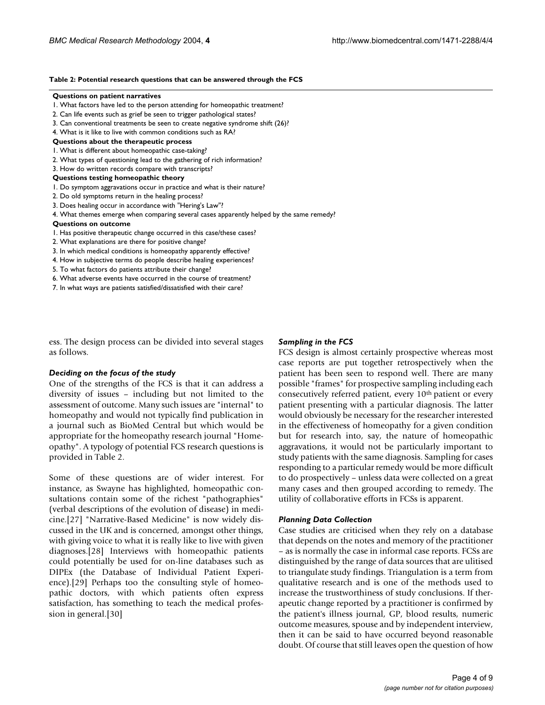#### <span id="page-3-0"></span>**Table 2: Potential research questions that can be answered through the FCS**

#### **Questions on patient narratives**

- 1. What factors have led to the person attending for homeopathic treatment?
- 2. Can life events such as grief be seen to trigger pathological states?
- 3. Can conventional treatments be seen to create negative syndrome shift (26)?
- 4. What is it like to live with common conditions such as RA?

#### **Questions about the therapeutic process**

- 1. What is different about homeopathic case-taking?
- 2. What types of questioning lead to the gathering of rich information?
- 3. How do written records compare with transcripts?

#### **Questions testing homeopathic theory**

- 1. Do symptom aggravations occur in practice and what is their nature?
- 2. Do old symptoms return in the healing process?
- 3. Does healing occur in accordance with "Hering's Law"?
- 4. What themes emerge when comparing several cases apparently helped by the same remedy?

#### **Questions on outcome**

- 1. Has positive therapeutic change occurred in this case/these cases?
- 2. What explanations are there for positive change?
- 3. In which medical conditions is homeopathy apparently effective?
- 4. How in subjective terms do people describe healing experiences?
- 5. To what factors do patients attribute their change?
- 6. What adverse events have occurred in the course of treatment?
- 7. In what ways are patients satisfied/dissatisfied with their care?

ess. The design process can be divided into several stages as follows.

#### *Deciding on the focus of the study*

One of the strengths of the FCS is that it can address a diversity of issues – including but not limited to the assessment of outcome. Many such issues are "internal" to homeopathy and would not typically find publication in a journal such as BioMed Central but which would be appropriate for the homeopathy research journal "Homeopathy". A typology of potential FCS research questions is provided in Table [2.](#page-3-0)

Some of these questions are of wider interest. For instance, as Swayne has highlighted, homeopathic consultations contain some of the richest "pathographies" (verbal descriptions of the evolution of disease) in medicine.[27] "Narrative-Based Medicine" is now widely discussed in the UK and is concerned, amongst other things, with giving voice to what it is really like to live with given diagnoses.[28] Interviews with homeopathic patients could potentially be used for on-line databases such as DIPEx (the Database of Individual Patient Experience).[29] Perhaps too the consulting style of homeopathic doctors, with which patients often express satisfaction, has something to teach the medical profession in general.[30]

#### *Sampling in the FCS*

FCS design is almost certainly prospective whereas most case reports are put together retrospectively when the patient has been seen to respond well. There are many possible "frames" for prospective sampling including each consecutively referred patient, every 10th patient or every patient presenting with a particular diagnosis. The latter would obviously be necessary for the researcher interested in the effectiveness of homeopathy for a given condition but for research into, say, the nature of homeopathic aggravations, it would not be particularly important to study patients with the same diagnosis. Sampling for cases responding to a particular remedy would be more difficult to do prospectively – unless data were collected on a great many cases and then grouped according to remedy. The utility of collaborative efforts in FCSs is apparent.

#### *Planning Data Collection*

Case studies are criticised when they rely on a database that depends on the notes and memory of the practitioner – as is normally the case in informal case reports. FCSs are distinguished by the range of data sources that are ulitised to triangulate study findings. Triangulation is a term from qualitative research and is one of the methods used to increase the trustworthiness of study conclusions. If therapeutic change reported by a practitioner is confirmed by the patient's illness journal, GP, blood results, numeric outcome measures, spouse and by independent interview, then it can be said to have occurred beyond reasonable doubt. Of course that still leaves open the question of how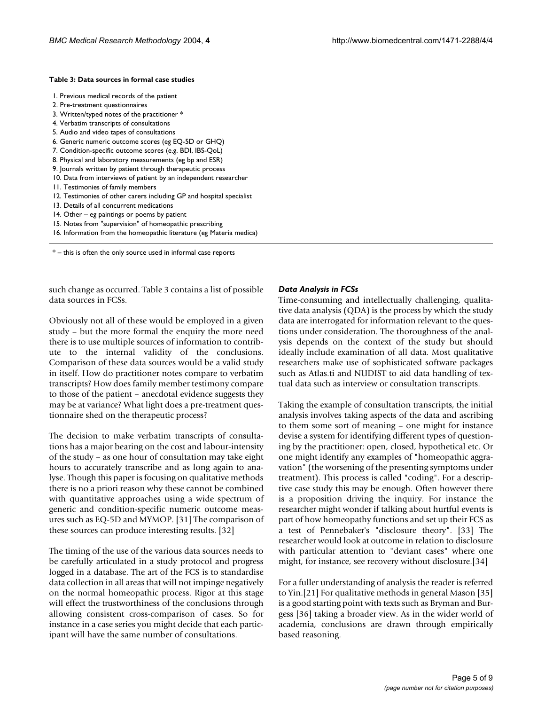#### <span id="page-4-0"></span>**Table 3: Data sources in formal case studies**

| I. Previous medical records of the patient                           |
|----------------------------------------------------------------------|
| 2. Pre-treatment questionnaires                                      |
| 3. Written/typed notes of the practitioner *                         |
| 4. Verbatim transcripts of consultations                             |
| 5. Audio and video tapes of consultations                            |
| 6. Generic numeric outcome scores (eg EQ-5D or GHQ)                  |
| 7. Condition-specific outcome scores (e.g. BDI, IBS-QoL)             |
| 8. Physical and laboratory measurements (eg bp and ESR)              |
| 9. Journals written by patient through therapeutic process           |
| 10. Data from interviews of patient by an independent researcher     |
| 11. Testimonies of family members                                    |
| 12. Testimonies of other carers including GP and hospital specialist |
| 13. Details of all concurrent medications                            |
| 14. Other $-$ eg paintings or poems by patient                       |
| 15. Notes from "supervision" of homeopathic prescribing              |
| 16. Information from the homeopathic literature (eg Materia medica)  |
|                                                                      |

 $*$  – this is often the only source used in informal case reports

such change as occurred. Table [3](#page-4-0) contains a list of possible data sources in FCSs.

Obviously not all of these would be employed in a given study – but the more formal the enquiry the more need there is to use multiple sources of information to contribute to the internal validity of the conclusions. Comparison of these data sources would be a valid study in itself. How do practitioner notes compare to verbatim transcripts? How does family member testimony compare to those of the patient – anecdotal evidence suggests they may be at variance? What light does a pre-treatment questionnaire shed on the therapeutic process?

The decision to make verbatim transcripts of consultations has a major bearing on the cost and labour-intensity of the study – as one hour of consultation may take eight hours to accurately transcribe and as long again to analyse. Though this paper is focusing on qualitative methods there is no a priori reason why these cannot be combined with quantitative approaches using a wide spectrum of generic and condition-specific numeric outcome measures such as EQ-5D and MYMOP. [31] The comparison of these sources can produce interesting results. [32]

The timing of the use of the various data sources needs to be carefully articulated in a study protocol and progress logged in a database. The art of the FCS is to standardise data collection in all areas that will not impinge negatively on the normal homeopathic process. Rigor at this stage will effect the trustworthiness of the conclusions through allowing consistent cross-comparison of cases. So for instance in a case series you might decide that each participant will have the same number of consultations.

#### *Data Analysis in FCSs*

Time-consuming and intellectually challenging, qualitative data analysis (QDA) is the process by which the study data are interrogated for information relevant to the questions under consideration. The thoroughness of the analysis depends on the context of the study but should ideally include examination of all data. Most qualitative researchers make use of sophisticated software packages such as Atlas.ti and NUDIST to aid data handling of textual data such as interview or consultation transcripts.

Taking the example of consultation transcripts, the initial analysis involves taking aspects of the data and ascribing to them some sort of meaning – one might for instance devise a system for identifying different types of questioning by the practitioner: open, closed, hypothetical etc. Or one might identify any examples of "homeopathic aggravation" (the worsening of the presenting symptoms under treatment). This process is called "coding". For a descriptive case study this may be enough. Often however there is a proposition driving the inquiry. For instance the researcher might wonder if talking about hurtful events is part of how homeopathy functions and set up their FCS as a test of Pennebaker's "disclosure theory". [33] The researcher would look at outcome in relation to disclosure with particular attention to "deviant cases" where one might, for instance, see recovery without disclosure.[34]

For a fuller understanding of analysis the reader is referred to Yin.[21] For qualitative methods in general Mason [35] is a good starting point with texts such as Bryman and Burgess [36] taking a broader view. As in the wider world of academia, conclusions are drawn through empirically based reasoning.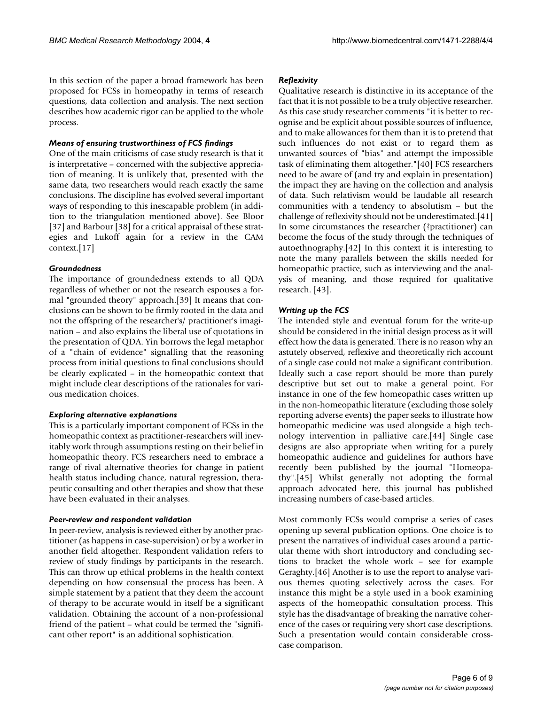In this section of the paper a broad framework has been proposed for FCSs in homeopathy in terms of research questions, data collection and analysis. The next section describes how academic rigor can be applied to the whole process.

# *Means of ensuring trustworthiness of FCS findings*

One of the main criticisms of case study research is that it is interpretative – concerned with the subjective appreciation of meaning. It is unlikely that, presented with the same data, two researchers would reach exactly the same conclusions. The discipline has evolved several important ways of responding to this inescapable problem (in addition to the triangulation mentioned above). See Bloor [37] and Barbour [38] for a critical appraisal of these strategies and Lukoff again for a review in the CAM context.[17]

# *Groundedness*

The importance of groundedness extends to all QDA regardless of whether or not the research espouses a formal "grounded theory" approach.[39] It means that conclusions can be shown to be firmly rooted in the data and not the offspring of the researcher's/ practitioner's imagination – and also explains the liberal use of quotations in the presentation of QDA. Yin borrows the legal metaphor of a "chain of evidence" signalling that the reasoning process from initial questions to final conclusions should be clearly explicated – in the homeopathic context that might include clear descriptions of the rationales for various medication choices.

# *Exploring alternative explanations*

This is a particularly important component of FCSs in the homeopathic context as practitioner-researchers will inevitably work through assumptions resting on their belief in homeopathic theory. FCS researchers need to embrace a range of rival alternative theories for change in patient health status including chance, natural regression, therapeutic consulting and other therapies and show that these have been evaluated in their analyses.

#### *Peer-review and respondent validation*

In peer-review, analysis is reviewed either by another practitioner (as happens in case-supervision) or by a worker in another field altogether. Respondent validation refers to review of study findings by participants in the research. This can throw up ethical problems in the health context depending on how consensual the process has been. A simple statement by a patient that they deem the account of therapy to be accurate would in itself be a significant validation. Obtaining the account of a non-professional friend of the patient – what could be termed the "significant other report" is an additional sophistication.

# *Reflexivity*

Qualitative research is distinctive in its acceptance of the fact that it is not possible to be a truly objective researcher. As this case study researcher comments "it is better to recognise and be explicit about possible sources of influence, and to make allowances for them than it is to pretend that such influences do not exist or to regard them as unwanted sources of "bias" and attempt the impossible task of eliminating them altogether."[40] FCS researchers need to be aware of (and try and explain in presentation) the impact they are having on the collection and analysis of data. Such relativism would be laudable all research communities with a tendency to absolutism – but the challenge of reflexivity should not be underestimated.[41] In some circumstances the researcher (?practitioner) can become the focus of the study through the techniques of autoethnography.[42] In this context it is interesting to note the many parallels between the skills needed for homeopathic practice, such as interviewing and the analysis of meaning, and those required for qualitative research. [43].

# *Writing up the FCS*

The intended style and eventual forum for the write-up should be considered in the initial design process as it will effect how the data is generated. There is no reason why an astutely observed, reflexive and theoretically rich account of a single case could not make a significant contribution. Ideally such a case report should be more than purely descriptive but set out to make a general point. For instance in one of the few homeopathic cases written up in the non-homeopathic literature (excluding those solely reporting adverse events) the paper seeks to illustrate how homeopathic medicine was used alongside a high technology intervention in palliative care.[44] Single case designs are also appropriate when writing for a purely homeopathic audience and guidelines for authors have recently been published by the journal "Homeopathy".[45] Whilst generally not adopting the formal approach advocated here, this journal has published increasing numbers of case-based articles.

Most commonly FCSs would comprise a series of cases opening up several publication options. One choice is to present the narratives of individual cases around a particular theme with short introductory and concluding sections to bracket the whole work – see for example Geraghty.[46] Another is to use the report to analyse various themes quoting selectively across the cases. For instance this might be a style used in a book examining aspects of the homeopathic consultation process. This style has the disadvantage of breaking the narrative coherence of the cases or requiring very short case descriptions. Such a presentation would contain considerable crosscase comparison.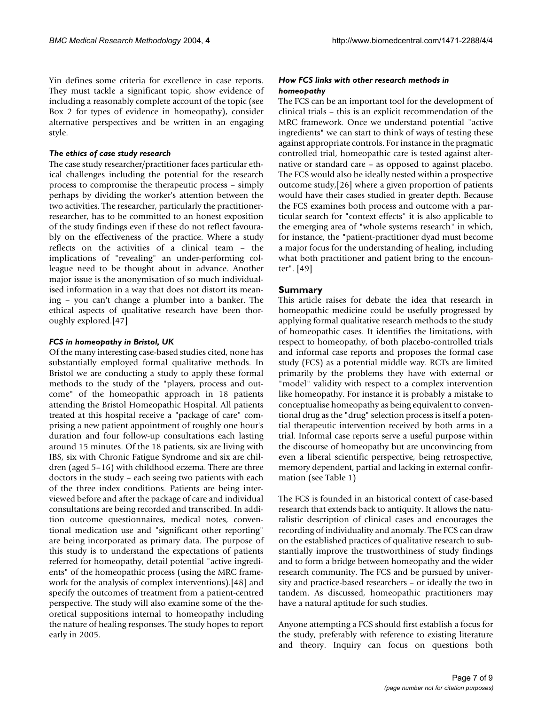Yin defines some criteria for excellence in case reports. They must tackle a significant topic, show evidence of including a reasonably complete account of the topic (see Box 2 for types of evidence in homeopathy), consider alternative perspectives and be written in an engaging style.

# *The ethics of case study research*

The case study researcher/practitioner faces particular ethical challenges including the potential for the research process to compromise the therapeutic process – simply perhaps by dividing the worker's attention between the two activities. The researcher, particularly the practitionerresearcher, has to be committed to an honest exposition of the study findings even if these do not reflect favourably on the effectiveness of the practice. Where a study reflects on the activities of a clinical team – the implications of "revealing" an under-performing colleague need to be thought about in advance. Another major issue is the anonymisation of so much individualised information in a way that does not distort its meaning – you can't change a plumber into a banker. The ethical aspects of qualitative research have been thoroughly explored.[47]

# *FCS in homeopathy in Bristol, UK*

Of the many interesting case-based studies cited, none has substantially employed formal qualitative methods. In Bristol we are conducting a study to apply these formal methods to the study of the "players, process and outcome" of the homeopathic approach in 18 patients attending the Bristol Homeopathic Hospital. All patients treated at this hospital receive a "package of care" comprising a new patient appointment of roughly one hour's duration and four follow-up consultations each lasting around 15 minutes. Of the 18 patients, six are living with IBS, six with Chronic Fatigue Syndrome and six are children (aged 5–16) with childhood eczema. There are three doctors in the study – each seeing two patients with each of the three index conditions. Patients are being interviewed before and after the package of care and individual consultations are being recorded and transcribed. In addition outcome questionnaires, medical notes, conventional medication use and "significant other reporting" are being incorporated as primary data. The purpose of this study is to understand the expectations of patients referred for homeopathy, detail potential "active ingredients" of the homeopathic process (using the MRC framework for the analysis of complex interventions).[48] and specify the outcomes of treatment from a patient-centred perspective. The study will also examine some of the theoretical suppositions internal to homeopathy including the nature of healing responses. The study hopes to report early in 2005.

# *How FCS links with other research methods in homeopathy*

The FCS can be an important tool for the development of clinical trials – this is an explicit recommendation of the MRC framework. Once we understand potential "active ingredients" we can start to think of ways of testing these against appropriate controls. For instance in the pragmatic controlled trial, homeopathic care is tested against alternative or standard care – as opposed to against placebo. The FCS would also be ideally nested within a prospective outcome study,[26] where a given proportion of patients would have their cases studied in greater depth. Because the FCS examines both process and outcome with a particular search for "context effects" it is also applicable to the emerging area of "whole systems research" in which, for instance, the "patient-practitioner dyad must become a major focus for the understanding of healing, including what both practitioner and patient bring to the encounter". [49]

# **Summary**

This article raises for debate the idea that research in homeopathic medicine could be usefully progressed by applying formal qualitative research methods to the study of homeopathic cases. It identifies the limitations, with respect to homeopathy, of both placebo-controlled trials and informal case reports and proposes the formal case study (FCS) as a potential middle way. RCTs are limited primarily by the problems they have with external or "model" validity with respect to a complex intervention like homeopathy. For instance it is probably a mistake to conceptualise homeopathy as being equivalent to conventional drug as the "drug" selection process is itself a potential therapeutic intervention received by both arms in a trial. Informal case reports serve a useful purpose within the discourse of homeopathy but are unconvincing from even a liberal scientific perspective, being retrospective, memory dependent, partial and lacking in external confirmation (see Table [1](#page-2-0))

The FCS is founded in an historical context of case-based research that extends back to antiquity. It allows the naturalistic description of clinical cases and encourages the recording of individuality and anomaly. The FCS can draw on the established practices of qualitative research to substantially improve the trustworthiness of study findings and to form a bridge between homeopathy and the wider research community. The FCS and be pursued by university and practice-based researchers – or ideally the two in tandem. As discussed, homeopathic practitioners may have a natural aptitude for such studies.

Anyone attempting a FCS should first establish a focus for the study, preferably with reference to existing literature and theory. Inquiry can focus on questions both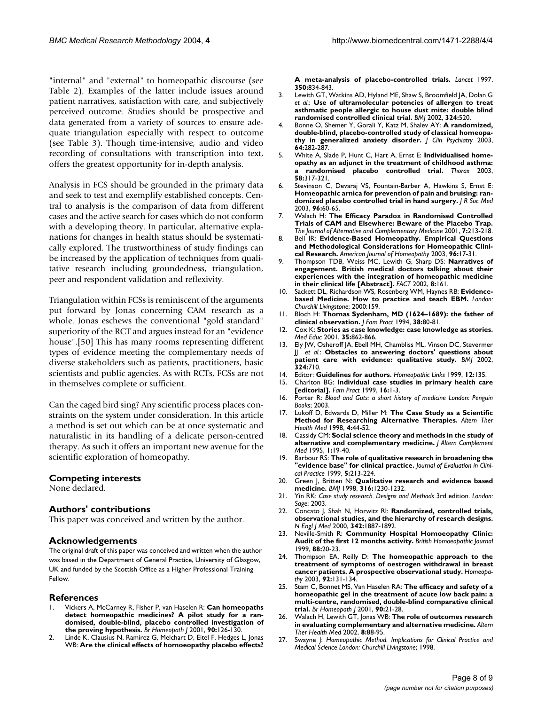"internal" and "external" to homeopathic discourse (see Table [2\)](#page-3-0). Examples of the latter include issues around patient narratives, satisfaction with care, and subjectively perceived outcome. Studies should be prospective and data generated from a variety of sources to ensure adequate triangulation especially with respect to outcome (see Table [3\)](#page-4-0). Though time-intensive, audio and video recording of consultations with transcription into text, offers the greatest opportunity for in-depth analysis.

Analysis in FCS should be grounded in the primary data and seek to test and exemplify established concepts. Central to analysis is the comparison of data from different cases and the active search for cases which do not conform with a developing theory. In particular, alternative explanations for changes in health status should be systematically explored. The trustworthiness of study findings can be increased by the application of techniques from qualitative research including groundedness, triangulation, peer and respondent validation and reflexivity.

Triangulation within FCSs is reminiscent of the arguments put forward by Jonas concerning CAM research as a whole. Jonas eschews the conventional "gold standard" superiority of the RCT and argues instead for an "evidence house".[50] This has many rooms representing different types of evidence meeting the complementary needs of diverse stakeholders such as patients, practitioners, basic scientists and public agencies. As with RCTs, FCSs are not in themselves complete or sufficient.

Can the caged bird sing? Any scientific process places constraints on the system under consideration. In this article a method is set out which can be at once systematic and naturalistic in its handling of a delicate person-centred therapy. As such it offers an important new avenue for the scientific exploration of homeopathy.

#### **Competing interests**

None declared.

#### **Authors' contributions**

This paper was conceived and written by the author.

#### **Acknowledgements**

The original draft of this paper was conceived and written when the author was based in the Department of General Practice, University of Glasgow, UK and funded by the Scottish Office as a Higher Professional Training Fellow.

#### **References**

- 1. Vickers A, McCarney R, Fisher P, van Haselen R: **[Can homeopaths](http://www.ncbi.nlm.nih.gov/entrez/query.fcgi?cmd=Retrieve&db=PubMed&dopt=Abstract&list_uids=10.1054/homp.1999.0475) [detect homeopathic medicines? A pilot study for a ran](http://www.ncbi.nlm.nih.gov/entrez/query.fcgi?cmd=Retrieve&db=PubMed&dopt=Abstract&list_uids=10.1054/homp.1999.0475)domised, double-blind, placebo controlled investigation of [the proving hypothesis](http://www.ncbi.nlm.nih.gov/entrez/query.fcgi?cmd=Retrieve&db=PubMed&dopt=Abstract&list_uids=10.1054/homp.1999.0475)[.](http://www.ncbi.nlm.nih.gov/entrez/query.fcgi?cmd=Retrieve&db=PubMed&dopt=Abstract&list_uids=11479779)** *Br Homeopath J* 2001, **90:**126-130.
- 2. Linde K, Clausius N, Ramirez G, Melchart D, Eitel F, Hedges L, Jonas WB: **[Are the clinical effects of homoeopathy placebo effects?](http://www.ncbi.nlm.nih.gov/entrez/query.fcgi?cmd=Retrieve&db=PubMed&dopt=Abstract&list_uids=9310601)**

**[A meta-analysis of placebo-controlled trials](http://www.ncbi.nlm.nih.gov/entrez/query.fcgi?cmd=Retrieve&db=PubMed&dopt=Abstract&list_uids=9310601)[.](http://www.ncbi.nlm.nih.gov/entrez/query.fcgi?cmd=Retrieve&db=PubMed&dopt=Abstract&list_uids=10.1016/S0140-6736(97)02293-9)** *Lancet* 1997, **350:**834-843.

- 3. Lewith GT, Watkins AD, Hyland ME, Shaw S, Broomfield JA, Dolan G *et al.*: **[Use of ultramolecular potencies of allergen to treat](http://www.ncbi.nlm.nih.gov/entrez/query.fcgi?cmd=Retrieve&db=PubMed&dopt=Abstract&list_uids=67767) [asthmatic people allergic to house dust mite: double blind](http://www.ncbi.nlm.nih.gov/entrez/query.fcgi?cmd=Retrieve&db=PubMed&dopt=Abstract&list_uids=67767) [randomised controlled clinical trial](http://www.ncbi.nlm.nih.gov/entrez/query.fcgi?cmd=Retrieve&db=PubMed&dopt=Abstract&list_uids=67767)[.](http://www.ncbi.nlm.nih.gov/entrez/query.fcgi?cmd=Retrieve&db=PubMed&dopt=Abstract&list_uids=10.1136/bmj.324.7336.520)** *BMJ* 2002, **324:**520.
- 4. Bonne O, Shemer Y, Gorali Y, Katz M, Shalev AY: **[A randomized,](http://www.ncbi.nlm.nih.gov/entrez/query.fcgi?cmd=Retrieve&db=PubMed&dopt=Abstract&list_uids=12716269) [double-blind, placebo-controlled study of classical homeopa](http://www.ncbi.nlm.nih.gov/entrez/query.fcgi?cmd=Retrieve&db=PubMed&dopt=Abstract&list_uids=12716269)[thy in generalized anxiety disorder.](http://www.ncbi.nlm.nih.gov/entrez/query.fcgi?cmd=Retrieve&db=PubMed&dopt=Abstract&list_uids=12716269)** *J Clin Psychiatry* 2003, **64:**282-287.
- 5. White A, Slade P, Hunt C, Hart A, Ernst E: **[Individualised home](http://www.ncbi.nlm.nih.gov/entrez/query.fcgi?cmd=Retrieve&db=PubMed&dopt=Abstract&list_uids=10.1136/thorax.58.4.317)[opathy as an adjunct in the treatment of childhood asthma:](http://www.ncbi.nlm.nih.gov/entrez/query.fcgi?cmd=Retrieve&db=PubMed&dopt=Abstract&list_uids=10.1136/thorax.58.4.317) [a randomised placebo controlled trial](http://www.ncbi.nlm.nih.gov/entrez/query.fcgi?cmd=Retrieve&db=PubMed&dopt=Abstract&list_uids=10.1136/thorax.58.4.317)[.](http://www.ncbi.nlm.nih.gov/entrez/query.fcgi?cmd=Retrieve&db=PubMed&dopt=Abstract&list_uids=12668794)** *Thorax* 2003, **58:**317-321.
- 6. Stevinson C, Devaraj VS, Fountain-Barber A, Hawkins S, Ernst E: **[Homeopathic arnica for prevention of pain and bruising: ran](http://www.ncbi.nlm.nih.gov/entrez/query.fcgi?cmd=Retrieve&db=PubMed&dopt=Abstract&list_uids=10.1258/jrsm.96.2.60)[domized placebo controlled trial in hand surgery](http://www.ncbi.nlm.nih.gov/entrez/query.fcgi?cmd=Retrieve&db=PubMed&dopt=Abstract&list_uids=10.1258/jrsm.96.2.60)[.](http://www.ncbi.nlm.nih.gov/entrez/query.fcgi?cmd=Retrieve&db=PubMed&dopt=Abstract&list_uids=12562974)** *J R Soc Med* 2003, **96:**60-65.
- 7. Walach H: **[The Efficacy Paradox in Randomised Controlled](http://www.ncbi.nlm.nih.gov/entrez/query.fcgi?cmd=Retrieve&db=PubMed&dopt=Abstract&list_uids=10.1089/107555301300328070) [Trials of CAM and Elsewhere: Beware of the Placebo Trap](http://www.ncbi.nlm.nih.gov/entrez/query.fcgi?cmd=Retrieve&db=PubMed&dopt=Abstract&list_uids=10.1089/107555301300328070)[.](http://www.ncbi.nlm.nih.gov/entrez/query.fcgi?cmd=Retrieve&db=PubMed&dopt=Abstract&list_uids=11439833)** *The Journal of Alternative and Complementary Medicine* 2001, **7:**213-218.
- 8. Bell IR: **Evidence-Based Homeopathy. Empirical Questions and Methodological Considerations for Homeopathic Clinical Research.** *American Journal of Homeopathy* 2003, **96:**17-31.
- 9. Thompson TDB, Weiss MC, Lewith G, Sharp DS: **Narratives of engagement. British medical doctors talking about their experiences with the integration of homeopathic medicine in their clinical life [Abstract].** *FACT* 2002, **8:**161.
- 10. Sackett DL, Richardson WS, Rosenberg WM, Haynes RB: **Evidencebased Medicine. How to practice and teach EBM.** *London: Churchill Livingstone*; 2000:159.
- 11. Bloch H: **[Thomas Sydenham, MD \(1624–1689\): the father of](http://www.ncbi.nlm.nih.gov/entrez/query.fcgi?cmd=Retrieve&db=PubMed&dopt=Abstract&list_uids=8289057) [clinical observation.](http://www.ncbi.nlm.nih.gov/entrez/query.fcgi?cmd=Retrieve&db=PubMed&dopt=Abstract&list_uids=8289057)** *J Fam Pract* 1994, **38:**80-81.
- 12. Cox K: **[Stories as case knowledge: case knowledge as stories](http://www.ncbi.nlm.nih.gov/entrez/query.fcgi?cmd=Retrieve&db=PubMed&dopt=Abstract&list_uids=10.1046/j.1365-2923.2001.01016.x)[.](http://www.ncbi.nlm.nih.gov/entrez/query.fcgi?cmd=Retrieve&db=PubMed&dopt=Abstract&list_uids=11555224)** *Med Educ* 2001, **35:**862-866.
- 13. Ely JW, Osheroff JA, Ebell MH, Chambliss ML, Vinson DC, Stevermer JJ *et al.*: **[Obstacles to answering doctors' questions about](http://www.ncbi.nlm.nih.gov/entrez/query.fcgi?cmd=Retrieve&db=PubMed&dopt=Abstract&list_uids=99056) [patient care with evidence: qualitative study](http://www.ncbi.nlm.nih.gov/entrez/query.fcgi?cmd=Retrieve&db=PubMed&dopt=Abstract&list_uids=99056)[.](http://www.ncbi.nlm.nih.gov/entrez/query.fcgi?cmd=Retrieve&db=PubMed&dopt=Abstract&list_uids=10.1136/bmj.324.7339.710)** *BMJ* 2002, **324:**710.
- 14. Editor: **Guidelines for authors.** *Homeopathic Links* 1999, **12:**135.
- 15. Charlton BG: **[Individual case studies in primary health care](http://www.ncbi.nlm.nih.gov/entrez/query.fcgi?cmd=Retrieve&db=PubMed&dopt=Abstract&list_uids=10.1093/fampra/16.1.1) [\[editorial\]](http://www.ncbi.nlm.nih.gov/entrez/query.fcgi?cmd=Retrieve&db=PubMed&dopt=Abstract&list_uids=10.1093/fampra/16.1.1)[.](http://www.ncbi.nlm.nih.gov/entrez/query.fcgi?cmd=Retrieve&db=PubMed&dopt=Abstract&list_uids=10321387)** *Fam Pract* 1999, **16:**1-3.
- 16. Porter R: *Blood and Guts: a short history of medicine London: Penguin Books*; 2003.
- 17. Lukoff D, Edwards D, Miller M: **[The Case Study as a Scientific](http://www.ncbi.nlm.nih.gov/entrez/query.fcgi?cmd=Retrieve&db=PubMed&dopt=Abstract&list_uids=9682511) [Method for Researching Alternative Therapies.](http://www.ncbi.nlm.nih.gov/entrez/query.fcgi?cmd=Retrieve&db=PubMed&dopt=Abstract&list_uids=9682511)** *Altern Ther Health Med* 1998, **4:**44-52.
- 18. Cassidy CM: **[Social science theory and methods in the study of](http://www.ncbi.nlm.nih.gov/entrez/query.fcgi?cmd=Retrieve&db=PubMed&dopt=Abstract&list_uids=9395601) [alternative and complementary medicine.](http://www.ncbi.nlm.nih.gov/entrez/query.fcgi?cmd=Retrieve&db=PubMed&dopt=Abstract&list_uids=9395601)** *J Altern Complement Med* 1995, **1:**19-40.
- 19. Barbour RS: **[The role of qualitative research in broadening the](http://www.ncbi.nlm.nih.gov/entrez/query.fcgi?cmd=Retrieve&db=PubMed&dopt=Abstract&list_uids=10.1046/j.1365-2753.1999.00177.x) ["evidence base" for clinical practice](http://www.ncbi.nlm.nih.gov/entrez/query.fcgi?cmd=Retrieve&db=PubMed&dopt=Abstract&list_uids=10.1046/j.1365-2753.1999.00177.x)[.](http://www.ncbi.nlm.nih.gov/entrez/query.fcgi?cmd=Retrieve&db=PubMed&dopt=Abstract&list_uids=10471231)** *Journal of Evaluation in Clinical Practice* 1999, **5:**213-224.
- 20. Green J, Britten N: **[Qualitative research and evidence based](http://www.ncbi.nlm.nih.gov/entrez/query.fcgi?cmd=Retrieve&db=PubMed&dopt=Abstract&list_uids=9583929) [medicine.](http://www.ncbi.nlm.nih.gov/entrez/query.fcgi?cmd=Retrieve&db=PubMed&dopt=Abstract&list_uids=9583929)** *BMJ* 1998, **316:**1230-1232.
- 21. Yin RK: *Case study research. Designs and Methods* 3rd edition. *London: Sage*; 2003.
- 22. Concato J, Shah N, Horwitz RI: **[Randomized, controlled trials,](http://www.ncbi.nlm.nih.gov/entrez/query.fcgi?cmd=Retrieve&db=PubMed&dopt=Abstract&list_uids=10.1056/NEJM200006223422507) [observational studies, and the hierarchy of research designs](http://www.ncbi.nlm.nih.gov/entrez/query.fcgi?cmd=Retrieve&db=PubMed&dopt=Abstract&list_uids=10.1056/NEJM200006223422507)[.](http://www.ncbi.nlm.nih.gov/entrez/query.fcgi?cmd=Retrieve&db=PubMed&dopt=Abstract&list_uids=10861325)** *N Engl J Med* 2000, **342:**1887-1892.
- 23. Neville-Smith R: **[Community Hospital Homoeopathy Clinic:](http://www.ncbi.nlm.nih.gov/entrez/query.fcgi?cmd=Retrieve&db=PubMed&dopt=Abstract&list_uids=10.1054/homp.1999.0280) [Audit of the first 12 months activity](http://www.ncbi.nlm.nih.gov/entrez/query.fcgi?cmd=Retrieve&db=PubMed&dopt=Abstract&list_uids=10.1054/homp.1999.0280)[.](http://www.ncbi.nlm.nih.gov/entrez/query.fcgi?cmd=Retrieve&db=PubMed&dopt=Abstract&list_uids=10228600)** *British Homoeopathic Journal* 1999, **88:**20-23.
- 24. Thompson EA, Reilly D: **[The homeopathic approach to the](http://www.ncbi.nlm.nih.gov/entrez/query.fcgi?cmd=Retrieve&db=PubMed&dopt=Abstract&list_uids=10.1016/S1475-4916(03)00035-3) [treatment of symptoms of oestrogen withdrawal in breast](http://www.ncbi.nlm.nih.gov/entrez/query.fcgi?cmd=Retrieve&db=PubMed&dopt=Abstract&list_uids=10.1016/S1475-4916(03)00035-3) [cancer patients. A prospective observational study](http://www.ncbi.nlm.nih.gov/entrez/query.fcgi?cmd=Retrieve&db=PubMed&dopt=Abstract&list_uids=10.1016/S1475-4916(03)00035-3)[.](http://www.ncbi.nlm.nih.gov/entrez/query.fcgi?cmd=Retrieve&db=PubMed&dopt=Abstract&list_uids=12884894)** *Homeopathy* 2003, **92:**131-134.
- 25. Stam C, Bonnet MS, Van Haselen RA: **[The efficacy and safety of a](http://www.ncbi.nlm.nih.gov/entrez/query.fcgi?cmd=Retrieve&db=PubMed&dopt=Abstract&list_uids=10.1038/sj.bhj.5800460) [homeopathic gel in the treatment of acute low back pain: a](http://www.ncbi.nlm.nih.gov/entrez/query.fcgi?cmd=Retrieve&db=PubMed&dopt=Abstract&list_uids=10.1038/sj.bhj.5800460) multi-centre, randomised, double-blind comparative clinical [trial](http://www.ncbi.nlm.nih.gov/entrez/query.fcgi?cmd=Retrieve&db=PubMed&dopt=Abstract&list_uids=10.1038/sj.bhj.5800460)[.](http://www.ncbi.nlm.nih.gov/entrez/query.fcgi?cmd=Retrieve&db=PubMed&dopt=Abstract&list_uids=11212085)** *Br Homeopath J* 2001, **90:**21-28.
- 26. Walach H, Lewith GT, Jonas WB: **The role of outcomes research in evaluating complementary and alternative medicine.** *Altern Ther Health Med* 2002, **8:**88-95.
- 27. Swayne J: *Homeopathic Method. Implications for Clinical Practice and Medical Science London: Churchill Livingstone*; 1998.